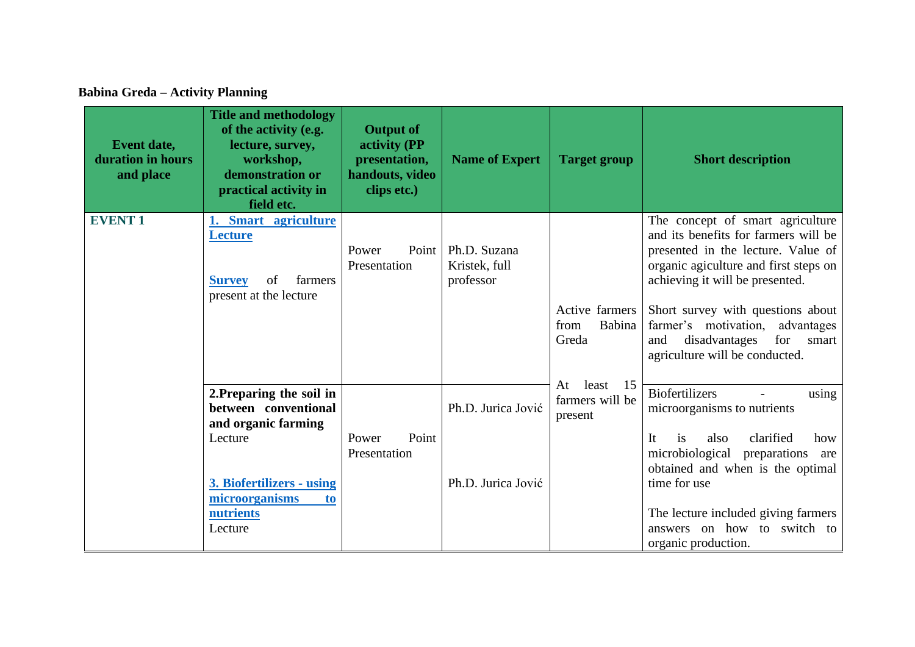**Babina Greda – Activity Planning**

| Event date,<br>duration in hours<br>and place | <b>Title and methodology</b><br>of the activity (e.g.<br>lecture, survey,<br>workshop,<br>demonstration or<br>practical activity in<br>field etc.                           | <b>Output of</b><br>activity (PP<br>presentation,<br>handouts, video<br>clips etc.) | <b>Name of Expert</b>                      | <b>Target group</b>                             | <b>Short description</b>                                                                                                                                                                                                                                                                                                                     |
|-----------------------------------------------|-----------------------------------------------------------------------------------------------------------------------------------------------------------------------------|-------------------------------------------------------------------------------------|--------------------------------------------|-------------------------------------------------|----------------------------------------------------------------------------------------------------------------------------------------------------------------------------------------------------------------------------------------------------------------------------------------------------------------------------------------------|
| <b>EVENT1</b>                                 | 1. Smart agriculture<br><b>Lecture</b><br>farmers<br><b>Survey</b><br>of<br>present at the lecture                                                                          | Power<br>Point<br>Presentation                                                      | Ph.D. Suzana<br>Kristek, full<br>professor | Active farmers<br>Babina<br>from<br>Greda       | The concept of smart agriculture<br>and its benefits for farmers will be<br>presented in the lecture. Value of<br>organic agiculture and first steps on<br>achieving it will be presented.<br>Short survey with questions about<br>farmer's motivation, advantages<br>disadvantages<br>for<br>and<br>smart<br>agriculture will be conducted. |
|                                               | 2. Preparing the soil in<br>between conventional<br>and organic farming<br>Lecture<br>3. Biofertilizers - using<br>microorganisms<br>t <sub>0</sub><br>nutrients<br>Lecture | Point<br>Power<br>Presentation                                                      | Ph.D. Jurica Jović<br>Ph.D. Jurica Jović   | At<br>least<br>15<br>farmers will be<br>present | <b>Biofertilizers</b><br>using<br>microorganisms to nutrients<br>It<br>clarified<br>also<br>is<br>how<br>microbiological<br>preparations<br>are<br>obtained and when is the optimal<br>time for use<br>The lecture included giving farmers<br>answers on how to switch to<br>organic production.                                             |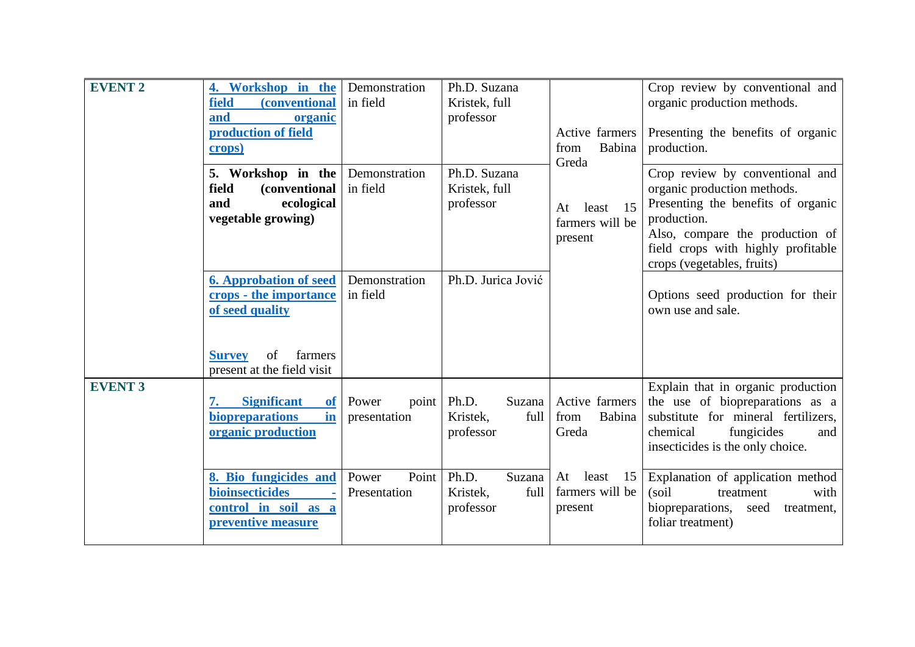| <b>EVENT 2</b> | 4. Workshop in the<br><i>(conventional)</i><br>field<br>and<br>organic<br>production of field<br>crops)                                    | Demonstration<br>in field      | Ph.D. Suzana<br>Kristek, full<br>professor       | Active farmers<br>from<br>Babina<br>Greda       | Crop review by conventional and<br>organic production methods.<br>Presenting the benefits of organic<br>production.                                                                                                        |
|----------------|--------------------------------------------------------------------------------------------------------------------------------------------|--------------------------------|--------------------------------------------------|-------------------------------------------------|----------------------------------------------------------------------------------------------------------------------------------------------------------------------------------------------------------------------------|
|                | 5. Workshop in the<br>field<br><i>(conventional)</i><br>ecological<br>and<br>vegetable growing)                                            | Demonstration<br>in field      | Ph.D. Suzana<br>Kristek, full<br>professor       | 15<br>At<br>least<br>farmers will be<br>present | Crop review by conventional and<br>organic production methods.<br>Presenting the benefits of organic<br>production.<br>Also, compare the production of<br>field crops with highly profitable<br>crops (vegetables, fruits) |
|                | <b>6. Approbation of seed</b><br>crops - the importance<br>of seed quality<br>of<br>farmers<br><b>Survey</b><br>present at the field visit | Demonstration<br>in field      | Ph.D. Jurica Jović                               |                                                 | Options seed production for their<br>own use and sale.                                                                                                                                                                     |
| <b>EVENT 3</b> | <b>Significant</b><br><b>of</b><br>in<br>biopreparations<br>organic production                                                             | Power<br>point<br>presentation | Ph.D.<br>Suzana<br>full<br>Kristek,<br>professor | Active farmers<br>from<br>Babina<br>Greda       | Explain that in organic production<br>the use of biopreparations as a<br>substitute for mineral fertilizers,<br>fungicides<br>chemical<br>and<br>insecticides is the only choice.                                          |
|                | 8. Bio fungicides and<br>bioinsecticides<br>$\sim$<br>control in soil as a<br>preventive measure                                           | Point<br>Power<br>Presentation | Ph.D.<br>Suzana<br>Kristek,<br>full<br>professor | At<br>least<br>15<br>farmers will be<br>present | Explanation of application method<br>(soil)<br>treatment<br>with<br>biopreparations,<br>seed<br>treatment,<br>foliar treatment)                                                                                            |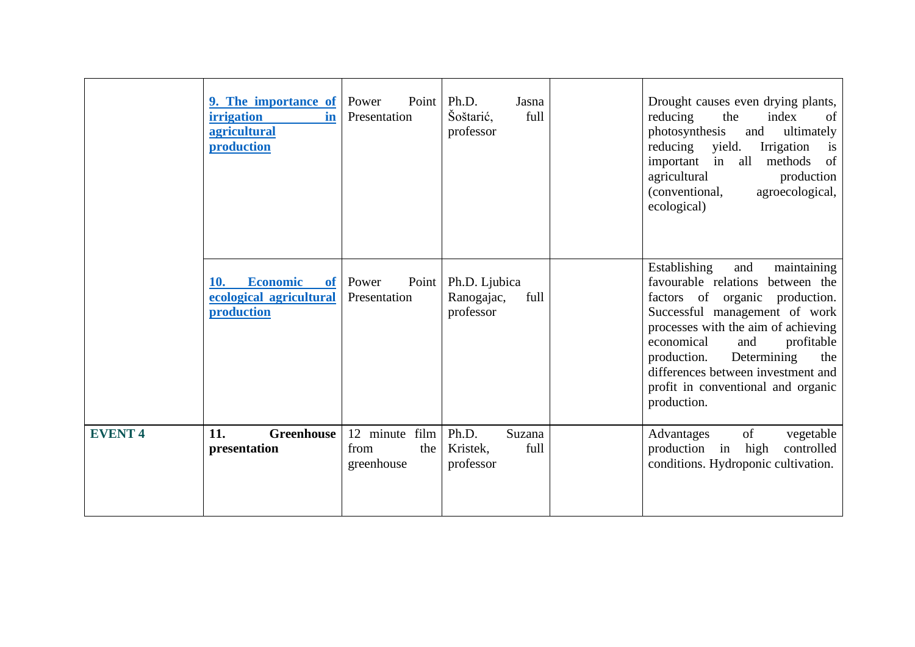|               | 9. The importance of<br><i>irrigation</i><br>in<br><b>agricultural</b><br>production | Power<br>Point<br>Presentation              | Ph.D.<br>Jasna<br>Šoštarić,<br>full<br>professor | Drought causes even drying plants,<br>reducing<br>the<br>index<br>of<br>ultimately<br>photosynthesis<br>and<br>reducing<br>yield.<br>Irrigation<br>is<br>of<br>in all<br>important<br>methods<br>agricultural<br>production<br>agroecological,<br>(conventional,<br>ecological)                                                                        |
|---------------|--------------------------------------------------------------------------------------|---------------------------------------------|--------------------------------------------------|--------------------------------------------------------------------------------------------------------------------------------------------------------------------------------------------------------------------------------------------------------------------------------------------------------------------------------------------------------|
|               | <b>Economic</b><br>10.<br><b>of</b><br>ecological agricultural<br>production         | Power<br>Point<br>Presentation              | Ph.D. Ljubica<br>Ranogajac,<br>full<br>professor | Establishing<br>maintaining<br>and<br>favourable relations<br>between the<br>factors of organic production.<br>Successful management of work<br>processes with the aim of achieving<br>profitable<br>economical<br>and<br>Determining<br>production.<br>the<br>differences between investment and<br>profit in conventional and organic<br>production. |
| <b>EVENT4</b> | 11.<br><b>Greenhouse</b><br>presentation                                             | 12 minute film<br>from<br>the<br>greenhouse | Ph.D.<br>Suzana<br>Kristek,<br>full<br>professor | of<br>vegetable<br>Advantages<br>high<br>controlled<br>production in<br>conditions. Hydroponic cultivation.                                                                                                                                                                                                                                            |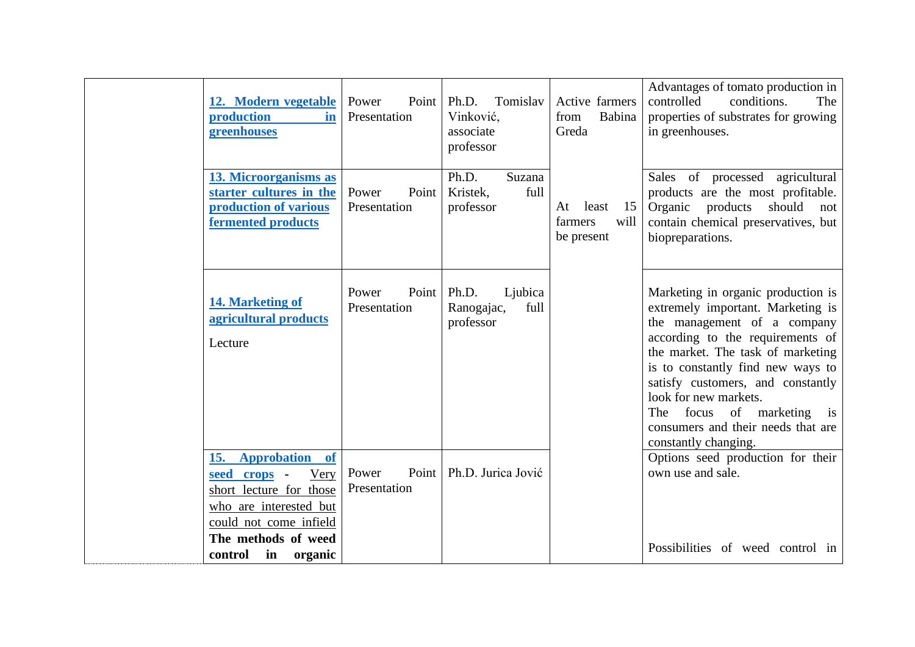| 12. Modern vegetable<br>production<br>in<br>greenhouses                                                                                                                                                        | Power<br>Point<br>Presentation | Ph.D.<br>Tomislav<br>Vinković,<br>associate<br>professor | Active farmers<br>from<br>Babina<br>Greda          | Advantages of tomato production in<br>controlled<br>conditions.<br>The<br>properties of substrates for growing<br>in greenhouses.                                                                                                                                                                                                                                                |
|----------------------------------------------------------------------------------------------------------------------------------------------------------------------------------------------------------------|--------------------------------|----------------------------------------------------------|----------------------------------------------------|----------------------------------------------------------------------------------------------------------------------------------------------------------------------------------------------------------------------------------------------------------------------------------------------------------------------------------------------------------------------------------|
| 13. Microorganisms as<br>starter cultures in the<br>production of various<br>fermented products                                                                                                                | Power<br>Point<br>Presentation | Ph.D.<br>Suzana<br>full<br>Kristek,<br>professor         | 15<br>At<br>least<br>farmers<br>will<br>be present | Sales of processed agricultural<br>products are the most profitable.<br>Organic products<br>should<br>not<br>contain chemical preservatives, but<br>biopreparations.                                                                                                                                                                                                             |
| <b>14. Marketing of</b><br>agricultural products<br>Lecture                                                                                                                                                    | Point<br>Power<br>Presentation | Ph.D.<br>Ljubica<br>Ranogajac,<br>full<br>professor      |                                                    | Marketing in organic production is<br>extremely important. Marketing is<br>the management of a company<br>according to the requirements of<br>the market. The task of marketing<br>is to constantly find new ways to<br>satisfy customers, and constantly<br>look for new markets.<br>focus of marketing is<br>The<br>consumers and their needs that are<br>constantly changing. |
| <b>Approbation</b><br>15.<br><b>of</b><br>seed<br>Very<br>crops -<br>short lecture for those<br>who are interested but<br>could not come infield<br>The methods of weed<br>control<br>$\mathbf{in}$<br>organic | Point<br>Power<br>Presentation | Ph.D. Jurica Jović                                       |                                                    | Options seed production for their<br>own use and sale.<br>Possibilities of weed control in                                                                                                                                                                                                                                                                                       |